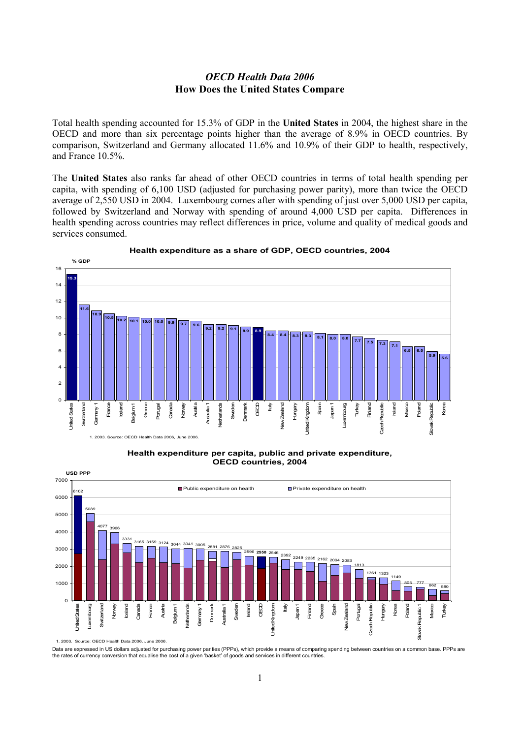## *OECD Health Data 2006*  **How Does the United States Compare**

Total health spending accounted for 15.3% of GDP in the **United States** in 2004, the highest share in the OECD and more than six percentage points higher than the average of 8.9% in OECD countries. By comparison, Switzerland and Germany allocated 11.6% and 10.9% of their GDP to health, respectively, and France 10.5%.

The **United States** also ranks far ahead of other OECD countries in terms of total health spending per capita, with spending of 6,100 USD (adjusted for purchasing power parity), more than twice the OECD average of 2,550 USD in 2004. Luxembourg comes after with spending of just over 5,000 USD per capita, followed by Switzerland and Norway with spending of around 4,000 USD per capita. Differences in health spending across countries may reflect differences in price, volume and quality of medical goods and services consumed.



## **Health expenditure as a share of GDP, OECD countries, 2004**

**Health expenditure per capita, public and private expenditure, OECD countries, 2004**



1. 2003. Source: OECD Health Data 2006, June 2006.

Data are expressed in US dollars adjusted for purchasing power parities (PPPs), which provide a means of comparing spending between countries on a common base. PPPs are the rates of currency conversion that equalise the cost of a given 'basket' of goods and services in different countries.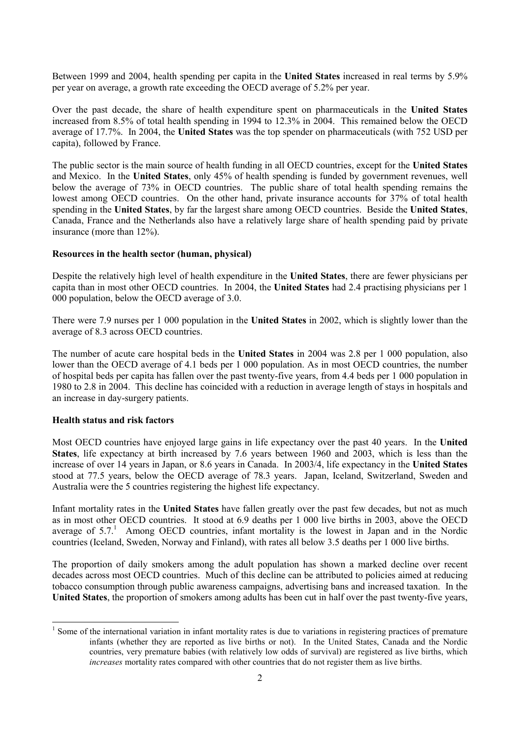Between 1999 and 2004, health spending per capita in the **United States** increased in real terms by 5.9% per year on average, a growth rate exceeding the OECD average of 5.2% per year.

Over the past decade, the share of health expenditure spent on pharmaceuticals in the **United States** increased from 8.5% of total health spending in 1994 to 12.3% in 2004. This remained below the OECD average of 17.7%. In 2004, the **United States** was the top spender on pharmaceuticals (with 752 USD per capita), followed by France.

The public sector is the main source of health funding in all OECD countries, except for the **United States** and Mexico. In the **United States**, only 45% of health spending is funded by government revenues, well below the average of 73% in OECD countries. The public share of total health spending remains the lowest among OECD countries. On the other hand, private insurance accounts for 37% of total health spending in the **United States**, by far the largest share among OECD countries. Beside the **United States**, Canada, France and the Netherlands also have a relatively large share of health spending paid by private insurance (more than 12%).

## **Resources in the health sector (human, physical)**

Despite the relatively high level of health expenditure in the **United States**, there are fewer physicians per capita than in most other OECD countries. In 2004, the **United States** had 2.4 practising physicians per 1 000 population, below the OECD average of 3.0.

There were 7.9 nurses per 1 000 population in the **United States** in 2002, which is slightly lower than the average of 8.3 across OECD countries.

The number of acute care hospital beds in the **United States** in 2004 was 2.8 per 1 000 population, also lower than the OECD average of 4.1 beds per 1 000 population. As in most OECD countries, the number of hospital beds per capita has fallen over the past twenty-five years, from 4.4 beds per 1 000 population in 1980 to 2.8 in 2004. This decline has coincided with a reduction in average length of stays in hospitals and an increase in day-surgery patients.

## **Health status and risk factors**

Most OECD countries have enjoyed large gains in life expectancy over the past 40 years. In the **United States**, life expectancy at birth increased by 7.6 years between 1960 and 2003, which is less than the increase of over 14 years in Japan, or 8.6 years in Canada. In 2003/4, life expectancy in the **United States** stood at 77.5 years, below the OECD average of 78.3 years. Japan, Iceland, Switzerland, Sweden and Australia were the 5 countries registering the highest life expectancy.

Infant mortality rates in the **United States** have fallen greatly over the past few decades, but not as much as in most other OECD countries. It stood at 6.9 deaths per 1 000 live births in 2003, above the OECD average of  $5.7$ .<sup>1</sup> Among OECD countries, infant mortality is the lowest in Japan and in the Nordic countries (Iceland, Sweden, Norway and Finland), with rates all below 3.5 deaths per 1 000 live births.

The proportion of daily smokers among the adult population has shown a marked decline over recent decades across most OECD countries. Much of this decline can be attributed to policies aimed at reducing tobacco consumption through public awareness campaigns, advertising bans and increased taxation. In the **United States**, the proportion of smokers among adults has been cut in half over the past twenty-five years,

<sup>&</sup>lt;sup>1</sup> Some of the international variation in infant mortality rates is due to variations in registering practices of premature infants (whether they are reported as live births or not). In the United States, Canada and the Nordic countries, very premature babies (with relatively low odds of survival) are registered as live births, which *increases* mortality rates compared with other countries that do not register them as live births.